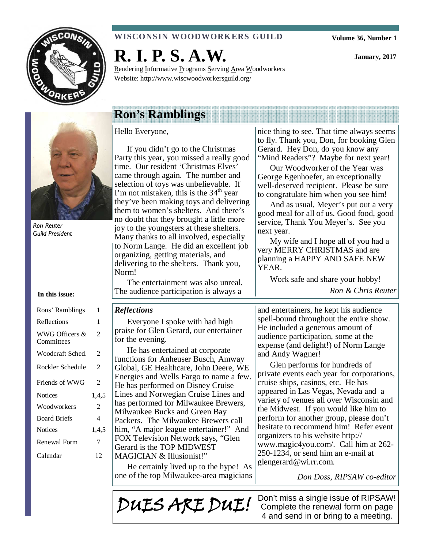

### **WISCONSIN WOODWORKERS GUILD**

**Volume 36, Number 1** 

**January, 2017** 



Ron Reuter Guild President

#### **In this issue:**

| Rons' Ramblings              | 1              |
|------------------------------|----------------|
| Reflections                  | 1              |
| WWG Officers &<br>Committees | 2              |
| Woodcraft Sched.             | 2              |
| Rockler Schedule             | 2              |
| Friends of WWG               | 2              |
| <b>Notices</b>               | 1,4,5          |
| Woodworkers                  | $\mathfrak{D}$ |
| <b>Board Briefs</b>          | 4              |
| <b>Notices</b>               | 1,4,5          |
| Renewal Form                 | 7              |
| Calendar                     | 12             |

# **R. I. P. S. A.W.**

Rendering Informative Programs Serving Area Woodworkers Website: http://www.wiscwoodworkersguild.org/

# **Ron's Ramblings**

Hello Everyone,

If you didn't go to the Christmas Party this year, you missed a really good time. Our resident 'Christmas Elves' came through again. The number and selection of toys was unbelievable. If I'm not mistaken, this is the  $34<sup>th</sup>$  year they've been making toys and delivering them to women's shelters. And there's no doubt that they brought a little more joy to the youngsters at these shelters. Many thanks to all involved, especially to Norm Lange. He did an excellent job organizing, getting materials, and delivering to the shelters. Thank you, Norm!

The entertainment was also unreal. The audience participation is always a

#### *Reflections*

Everyone I spoke with had high praise for Glen Gerard, our entertainer for the evening.

He has entertained at corporate functions for Anheuser Busch, Amway Global, GE Healthcare, John Deere, WE Energies and Wells Fargo to name a few. He has performed on Disney Cruise Lines and Norwegian Cruise Lines and has performed for Milwaukee Brewers, Milwaukee Bucks and Green Bay Packers. The Milwaukee Brewers call him, "A major league entertainer!" And FOX Television Network says, "Glen Gerard is the TOP MIDWEST MAGICIAN & Illusionist!"

He certainly lived up to the hype! As one of the top Milwaukee-area magicians

nice thing to see. That time always seems to fly. Thank you, Don, for booking Glen Gerard. Hey Don, do you know any "Mind Readers"? Maybe for next year!

Our Woodworker of the Year was George Egenhoefer, an exceptionally well-deserved recipient. Please be sure to congratulate him when you see him!

And as usual, Meyer's put out a very good meal for all of us. Good food, good service, Thank You Meyer's. See you next year.

My wife and I hope all of you had a very MERRY CHRISTMAS and are planning a HAPPY AND SAFE NEW YEAR.

Work safe and share your hobby!

*Ron & Chris Reuter* 

and entertainers, he kept his audience spell-bound throughout the entire show. He included a generous amount of audience participation, some at the expense (and delight!) of Norm Lange and Andy Wagner!

Glen performs for hundreds of private events each year for corporations, cruise ships, casinos, etc. He has appeared in Las Vegas, Nevada and a variety of venues all over Wisconsin and the Midwest. If you would like him to perform for another group, please don't hesitate to recommend him! Refer event organizers to his website http:// www.magic4you.com/. Call him at 262- 250-1234, or send him an e-mail at glengerard@wi.rr.com.

*Don Doss, RIPSAW co-editor* 

DUES ARE DUE!

Don't miss a single issue of RIPSAW! Complete the renewal form on page 4 and send in or bring to a meeting.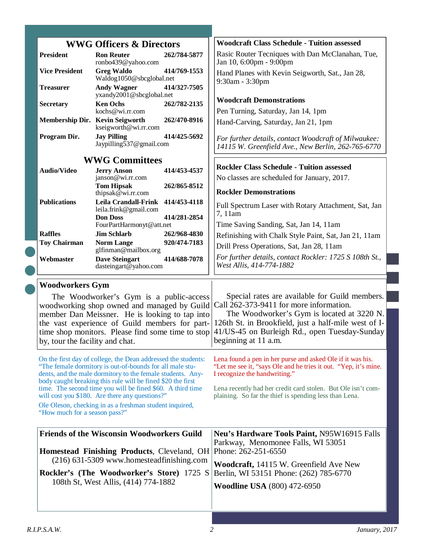|                                                                                                                                          |                                 |                                                                                                                                                                                         |                                                | <b>Woodcraft Class Schedule - Tuition assessed</b>                                                                                                             |
|------------------------------------------------------------------------------------------------------------------------------------------|---------------------------------|-----------------------------------------------------------------------------------------------------------------------------------------------------------------------------------------|------------------------------------------------|----------------------------------------------------------------------------------------------------------------------------------------------------------------|
|                                                                                                                                          |                                 | <b>WWG Officers &amp; Directors</b>                                                                                                                                                     |                                                |                                                                                                                                                                |
|                                                                                                                                          | <b>President</b>                | <b>Ron Reuter</b><br>ronbo439@yahoo.com                                                                                                                                                 | 262/784-5877                                   | Rasic Router Tecniques with Dan McClanahan, Tue,<br>Jan 10, 6:00pm - 9:00pm                                                                                    |
|                                                                                                                                          | <b>Vice President</b>           | <b>Greg Waldo</b><br>Waldog1050@sbcglobal.net                                                                                                                                           | 414/769-1553                                   | Hand Planes with Kevin Seigworth, Sat., Jan 28,<br>9:30am - 3:30pm                                                                                             |
|                                                                                                                                          | <b>Treasurer</b>                | <b>Andy Wagner</b><br>yxandy2001@sbcglobal.net                                                                                                                                          | 414/327-7505                                   |                                                                                                                                                                |
|                                                                                                                                          | <b>Secretary</b>                | <b>Ken Ochs</b><br>kochs@wi.rr.com                                                                                                                                                      | 262/782-2135                                   | <b>Woodcraft Demonstrations</b><br>Pen Turning, Saturday, Jan 14, 1pm                                                                                          |
|                                                                                                                                          | Membership Dir. Kevin Seigworth | kseigworth@wi.rr.com                                                                                                                                                                    | 262/470-8916                                   | Hand-Carving, Saturday, Jan 21, 1pm                                                                                                                            |
|                                                                                                                                          | Program Dir.                    | <b>Jay Pilling</b><br>Jaypilling537@gmail.com                                                                                                                                           | 414/425-5692                                   | For further details, contact Woodcraft of Milwaukee:<br>14115 W. Greenfield Ave., New Berlin, 262-765-6770                                                     |
|                                                                                                                                          |                                 | <b>WWG Committees</b>                                                                                                                                                                   |                                                |                                                                                                                                                                |
|                                                                                                                                          | <b>Audio/Video</b>              | <b>Jerry Anson</b>                                                                                                                                                                      | 414/453-4537                                   | <b>Rockler Class Schedule - Tuition assessed</b>                                                                                                               |
|                                                                                                                                          |                                 | janson@wi.rr.com<br><b>Tom Hipsak</b>                                                                                                                                                   | 262/865-8512                                   | No classes are scheduled for January, 2017.                                                                                                                    |
|                                                                                                                                          |                                 | thipsak@wi.rr.com                                                                                                                                                                       |                                                | <b>Rockler Demonstrations</b>                                                                                                                                  |
|                                                                                                                                          | <b>Publications</b>             | Leila Crandall-Frink<br>leila.frink@gmail.com                                                                                                                                           | 414/453-4118                                   | Full Spectrum Laser with Rotary Attachment, Sat, Jan<br>7, 11am                                                                                                |
|                                                                                                                                          |                                 | <b>Don Doss</b><br>FourPartHarmonyt@att.net                                                                                                                                             | 414/281-2854                                   | Time Saving Sanding, Sat, Jan 14, 11am                                                                                                                         |
|                                                                                                                                          | <b>Raffles</b>                  | <b>Jim Schlarb</b>                                                                                                                                                                      | 262/968-4830                                   | Refinishing with Chalk Style Paint, Sat, Jan 21, 11am                                                                                                          |
|                                                                                                                                          | <b>Toy Chairman</b>             | <b>Norm Lange</b>                                                                                                                                                                       | 920/474-7183                                   | Drill Press Operations, Sat, Jan 28, 11am                                                                                                                      |
|                                                                                                                                          | Webmaster                       | glfinman@mailbox.org<br><b>Dave Steingart</b>                                                                                                                                           | 414/688-7078                                   | For further details, contact Rockler: 1725 S 108th St.,                                                                                                        |
|                                                                                                                                          |                                 | dasteingart@yahoo.com                                                                                                                                                                   |                                                | West Allis, 414-774-1882                                                                                                                                       |
|                                                                                                                                          | <b>Woodworkers Gym</b>          |                                                                                                                                                                                         |                                                |                                                                                                                                                                |
| The Woodworker's Gym is a public-access<br>woodworking shop owned and managed by Guild<br>member Dan Meissner. He is looking to tap into |                                 |                                                                                                                                                                                         | Special rates are available for Guild members. |                                                                                                                                                                |
|                                                                                                                                          |                                 |                                                                                                                                                                                         |                                                | Call 262-373-9411 for more information.<br>The Woodworker's Gym is located at 3220 N.                                                                          |
|                                                                                                                                          | by, tour the facility and chat. | the vast experience of Guild members for part-<br>time shop monitors. Please find some time to stop                                                                                     |                                                | 126th St. in Brookfield, just a half-mile west of I-<br>41/US-45 on Burleigh Rd., open Tuesday-Sunday<br>beginning at 11 a.m.                                  |
|                                                                                                                                          |                                 | On the first day of college, the Dean addressed the students:<br>"The female dormitory is out-of-bounds for all male stu-<br>dents, and the male dormitory to the female students. Any- |                                                | Lena found a pen in her purse and asked Ole if it was his.<br>"Let me see it, "says Ole and he tries it out. "Yep, it's mine.<br>I recognize the handwriting." |
|                                                                                                                                          |                                 | body caught breaking this rule will be fined \$20 the first<br>time. The second time you will be fined \$60. A third time<br>will cost you \$180. Are there any questions?"             |                                                | Lena recently had her credit card stolen. But Ole isn't com-<br>plaining. So far the thief is spending less than Lena.                                         |
|                                                                                                                                          | "How much for a season pass?"   | Ole Oleson, checking in as a freshman student inquired,                                                                                                                                 |                                                |                                                                                                                                                                |
|                                                                                                                                          |                                 | <b>Friends of the Wisconsin Woodworkers Guild</b>                                                                                                                                       |                                                | Neu's Hardware Tools Paint, N95W16915 Falls                                                                                                                    |
|                                                                                                                                          |                                 | Homestead Finishing Products, Cleveland, OH                                                                                                                                             |                                                | Parkway, Menomonee Falls, WI 53051<br>Phone: 262-251-6550                                                                                                      |
|                                                                                                                                          |                                 | (216) 631-5309 www.homesteadfinishing.com                                                                                                                                               |                                                | Woodcraft, 14115 W. Greenfield Ave New                                                                                                                         |
|                                                                                                                                          |                                 | <b>Rockler's (The Woodworker's Store)</b> 1725 S<br>108th St, West Allis, (414) 774-1882                                                                                                |                                                | Berlin, WI 53151 Phone: (262) 785-6770                                                                                                                         |
|                                                                                                                                          |                                 |                                                                                                                                                                                         |                                                | <b>Woodline USA</b> (800) 472-6950                                                                                                                             |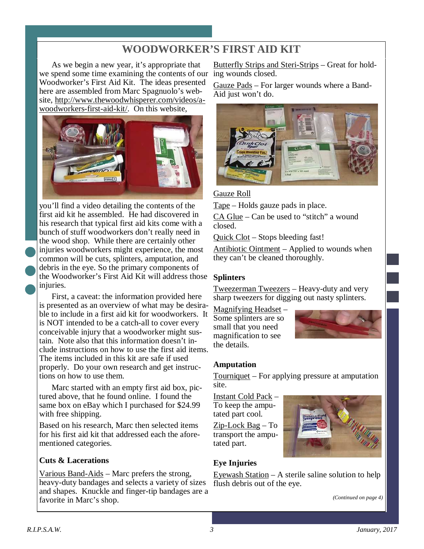# **WOODWORKER'S FIRST AID KIT**

As we begin a new year, it's appropriate that we spend some time examining the contents of our ing wounds closed. Woodworker's First Aid Kit. The ideas presented here are assembled from Marc Spagnuolo's website, http://www.thewoodwhisperer.com/videos/awoodworkers-first-aid-kit/. On this website,



you'll find a video detailing the contents of the first aid kit he assembled. He had discovered in his research that typical first aid kits come with a bunch of stuff woodworkers don't really need in the wood shop. While there are certainly other injuries woodworkers might experience, the most common will be cuts, splinters, amputation, and debris in the eye. So the primary components of the Woodworker's First Aid Kit will address those injuries.

First, a caveat: the information provided here is presented as an overview of what may be desirable to include in a first aid kit for woodworkers. It is NOT intended to be a catch-all to cover every conceivable injury that a woodworker might sustain. Note also that this information doesn't include instructions on how to use the first aid items. The items included in this kit are safe if used properly. Do your own research and get instructions on how to use them.

Marc started with an empty first aid box, pictured above, that he found online. I found the same box on eBay which I purchased for \$24.99 with free shipping.

Based on his research, Marc then selected items for his first aid kit that addressed each the aforementioned categories.

### **Cuts & Lacerations**

Various Band-Aids – Marc prefers the strong, heavy-duty bandages and selects a variety of sizes and shapes. Knuckle and finger-tip bandages are a favorite in Marc's shop.

Butterfly Strips and Steri-Strips – Great for hold-

Gauze Pads – For larger wounds where a Band-Aid just won't do.



#### Gauze Roll

Tape – Holds gauze pads in place.

CA Glue – Can be used to "stitch" a wound closed.

Quick Clot – Stops bleeding fast!

Antibiotic Ointment – Applied to wounds when they can't be cleaned thoroughly.

#### **Splinters**

Tweezerman Tweezers – Heavy-duty and very sharp tweezers for digging out nasty splinters.

Magnifying Headset – Some splinters are so small that you need magnification to see the details.



#### **Amputation**

Tourniquet – For applying pressure at amputation site.

Instant Cold Pack – To keep the amputated part cool. Zip-Lock Bag – To

transport the amputated part.

**Eye Injuries** 



Eyewash Station – A sterile saline solution to help flush debris out of the eye.

*(Continued on page 4)*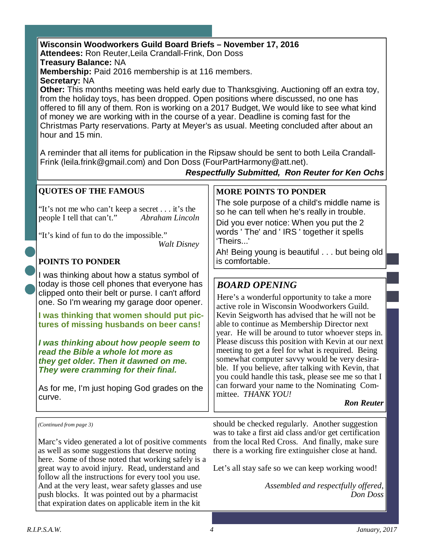#### **Wisconsin Woodworkers Guild Board Briefs – November 17, 2016 Attendees:** Ron Reuter,Leila Crandall-Frink, Don Doss **Treasury Balance:** NA **Membership:** Paid 2016 membership is at 116 members. **Secretary:** NA **Other:** This months meeting was held early due to Thanksgiving. Auctioning off an extra toy, from the holiday toys, has been dropped. Open positions where discussed, no one has offered to fill any of them. Ron is working on a 2017 Budget, We would like to see what kind of money we are working with in the course of a year. Deadline is coming fast for the Christmas Party reservations. Party at Meyer's as usual. Meeting concluded after about an hour and 15 min. A reminder that all items for publication in the Ripsaw should be sent to both Leila Crandall-Frink (leila.frink@gmail.com) and Don Doss (FourPartHarmony@att.net). **Respectfully Submitted, Ron Reuter for Ken Ochs**  *BOARD OPENING*  Here's a wonderful opportunity to take a more active role in Wisconsin Woodworkers Guild. Kevin Seigworth has advised that he will not be able to continue as Membership Director next year. He will be around to tutor whoever steps in. Please discuss this position with Kevin at our next meeting to get a feel for what is required. Being somewhat computer savvy would be very desirable. If you believe, after talking with Kevin, that you could handle this task, please see me so that I can forward your name to the Nominating Committee. *THANK YOU! Ron Reuter* **QUOTES OF THE FAMOUS**  "It's not me who can't keep a secret . . . it's the people I tell that can't." *Abraham Lincoln* "It's kind of fun to do the impossible."  *Walt Disney*  **POINTS TO PONDER**  I was thinking about how a status symbol of today is those cell phones that everyone has clipped onto their belt or purse. I can't afford one. So I'm wearing my garage door opener. **I was thinking that women should put pictures of missing husbands on beer cans! I was thinking about how people seem to read the Bible a whole lot more as they get older. Then it dawned on me. They were cramming for their final.** As for me, I'm just hoping God grades on the curve. **MORE POINTS TO PONDER** The sole purpose of a child's middle name is so he can tell when he's really in trouble. Did you ever notice: When you put the 2 words ' The' and ' IRS ' together it spells 'Theirs...' Ah! Being young is beautiful . . . but being old is comfortable.

*(Continued from page 3)* 

Marc's video generated a lot of positive comments as well as some suggestions that deserve noting here. Some of those noted that working safely is a great way to avoid injury. Read, understand and follow all the instructions for every tool you use. And at the very least, wear safety glasses and use push blocks. It was pointed out by a pharmacist that expiration dates on applicable item in the kit

should be checked regularly. Another suggestion was to take a first aid class and/or get certification from the local Red Cross. And finally, make sure there is a working fire extinguisher close at hand.

Let's all stay safe so we can keep working wood!

*Assembled and respectfully offered, Don Doss*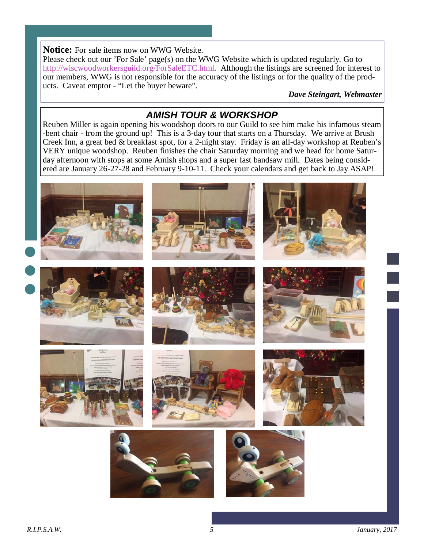#### **Notice:** For sale items now on WWG Website.

Please check out our 'For Sale' page(s) on the WWG Website which is updated regularly. Go to http://wiscwoodworkersguild.org/ForSaleETC.html. Although the listings are screened for interest to our members, WWG is not responsible for the accuracy of the listings or for the quality of the products. Caveat emptor - "Let the buyer beware".

*Dave Steingart, Webmaster* 

### **AMISH TOUR & WORKSHOP**

Reuben Miller is again opening his woodshop doors to our Guild to see him make his infamous steam -bent chair - from the ground up! This is a 3-day tour that starts on a Thursday. We arrive at Brush Creek Inn, a great bed & breakfast spot, for a 2-night stay. Friday is an all-day workshop at Reuben's VERY unique woodshop. Reuben finishes the chair Saturday morning and we head for home Saturday afternoon with stops at some Amish shops and a super fast bandsaw mill. Dates being considered are January 26-27-28 and February 9-10-11. Check your calendars and get back to Jay ASAP!

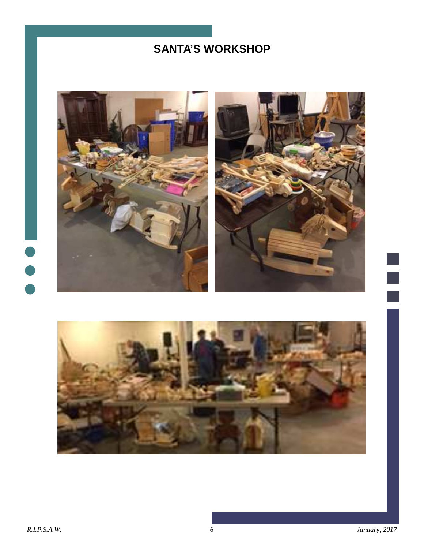# **SANTA'S WORKSHOP**





i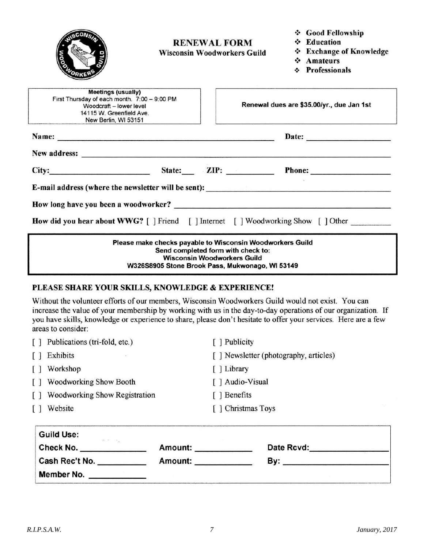|                                                                                                                             | <b>RENEWAL FORM</b><br><b>Wisconsin Woodworkers Guild</b> | ❖ | <b>Good Fellowship</b><br>❖ Education<br>❖ Exchange of Knowledge<br>❖ Amateurs<br><b>Professionals</b>                                                       |
|-----------------------------------------------------------------------------------------------------------------------------|-----------------------------------------------------------|---|--------------------------------------------------------------------------------------------------------------------------------------------------------------|
| <b>Meetings (usually)</b>                                                                                                   |                                                           |   |                                                                                                                                                              |
| First Thursday of each month. 7:00 - 9:00 PM<br>Woodcraft - lower level<br>14115 W. Greenfield Ave.<br>New Berlin, WI 53151 |                                                           |   | Renewal dues are \$35.00/yr., due Jan 1st<br>the contract of the contract of the contract of the contract of the contract of the contract of the contract of |
| Name: Name:                                                                                                                 |                                                           |   |                                                                                                                                                              |
| New address: <u>New address:</u>                                                                                            |                                                           |   |                                                                                                                                                              |
| City: State: ZIP: Phone:                                                                                                    |                                                           |   |                                                                                                                                                              |
| E-mail address (where the newsletter will be sent): _____________________________                                           |                                                           |   |                                                                                                                                                              |
| How long have you been a woodworker?                                                                                        |                                                           |   |                                                                                                                                                              |
| <b>How did you hear about WWG?</b> [ ] Friend [ ] Internet [ ] Woodworking Show [ ] Other                                   |                                                           |   |                                                                                                                                                              |
|                                                                                                                             | Please make checks payable to Wisconsin Woodworkers Guild |   |                                                                                                                                                              |

Send completed form with check to: **Wisconsin Woodworkers Guild** 

W326S8905 Stone Brook Pass, Mukwonago, WI 53149

### PLEASE SHARE YOUR SKILLS, KNOWLEDGE & EXPERIENCE!

Without the volunteer efforts of our members, Wisconsin Woodworkers Guild would not exist. You can increase the value of your membership by working with us in the day-to-day operations of our organization. If you have skills, knowledge or experience to share, please don't hesitate to offer your services. Here are a few areas to consider:

| [] Publications (tri-fold, etc.)               | [ ] Publicity                          |
|------------------------------------------------|----------------------------------------|
| Exhibits<br>封                                  | [ ] Newsletter (photography, articles) |
| Workshop                                       | [ ] Library                            |
| <b>Woodworking Show Booth</b><br>$\Box$        | [ ] Audio-Visual                       |
| <b>Woodworking Show Registration</b><br>$\Box$ | [ ] Benefits                           |
| Website                                        | [ ] Christmas Toys                     |
| <b>Guild Use:</b><br>$x \times x_{\infty}$     |                                        |

| <b>Check No.</b>      | Amount: | Date Rcvd: |  |
|-----------------------|---------|------------|--|
| <b>Cash Rec't No.</b> | Amount: | B۷:        |  |
| Member No.            |         |            |  |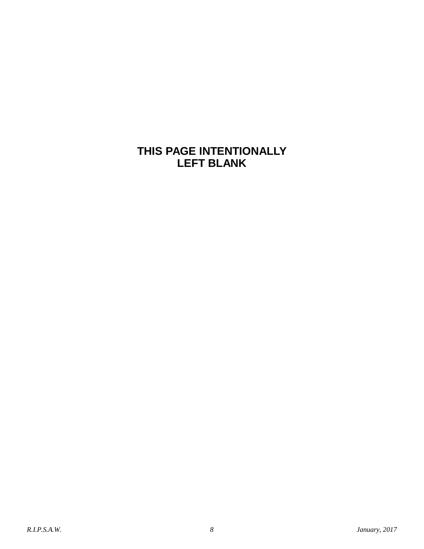# **THIS PAGE INTENTIONALLY LEFT BLANK**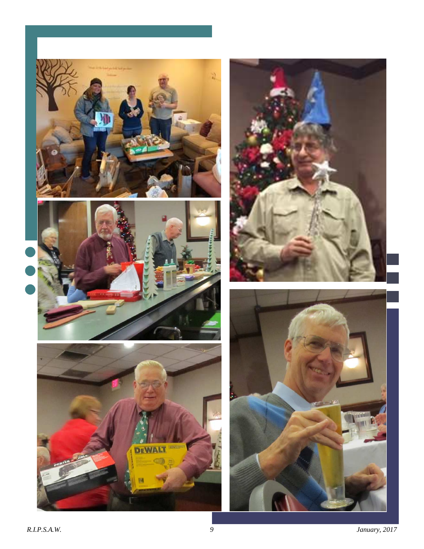